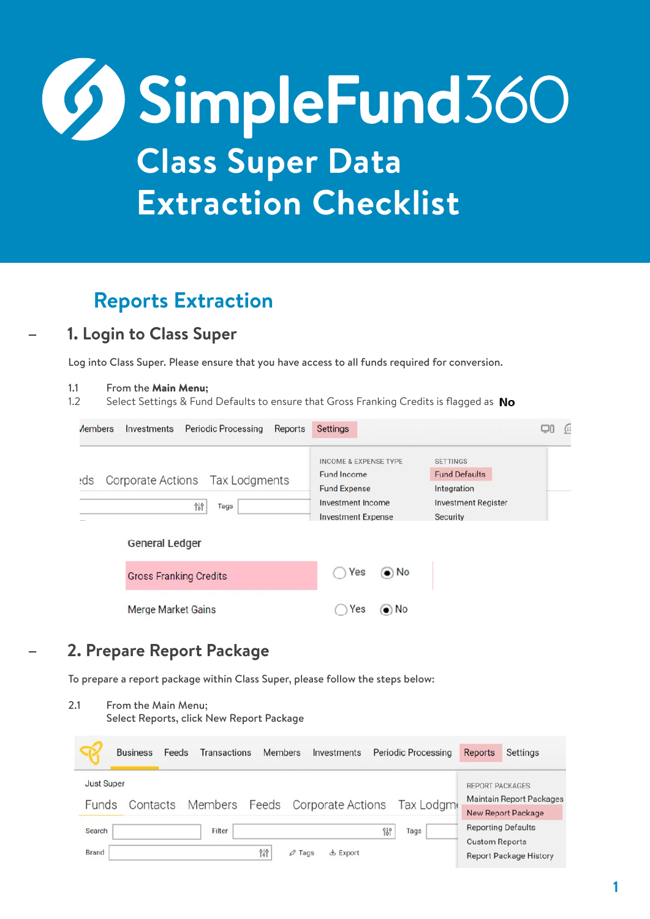# **SimpleFund360 Class Super Data Extraction Checklist**

# **Reports Extraction**

### **– 1. Login to Class Super**

Log into Class Super. Please ensure that you have access to all funds required for conversion.

#### 1.1 From the Main Menu;

1.2 Select Settings & Fund Defaults to ensure that Gross Franking Credits is flagged as No

| <i>Aembers</i> | <b>Periodic Processing</b><br>Investments<br>Reports | <b>Settings</b>                                                                                                          | ∫∷                                                                                                      |
|----------------|------------------------------------------------------|--------------------------------------------------------------------------------------------------------------------------|---------------------------------------------------------------------------------------------------------|
| ebs:           | Corporate Actions Tax Lodgments<br>969<br>Tags       | <b>INCOME &amp; EXPENSE TYPE</b><br>Fund Income<br><b>Fund Expense</b><br>Investment Income<br><b>Investment Expense</b> | <b>SETTINGS</b><br><b>Fund Defaults</b><br>Integration<br><b>Investment Register</b><br><b>Security</b> |
|                | <b>General Ledger</b>                                |                                                                                                                          |                                                                                                         |
|                | <b>Gross Franking Credits</b>                        | $\odot$ No<br>Yes                                                                                                        |                                                                                                         |
|                | <b>Merge Market Gains</b>                            | $\bullet$ No<br>Yes                                                                                                      |                                                                                                         |

## **– 2. Prepare Report Package**

To prepare a report package within Class Super, please follow the steps below:

2.1 From the Main Menu; Select Reports, click New Report Package**Business** Feeds Transactions **Members** Investments **Periodic Processing** Reports Settings **Just Super** REPORT PACKAGES **Maintain Report Packages** Members Feeds Corporate Actions Tax Lodgm Funds Contacts **New Report Package Reporting Defaults** Filter Search 969 Tags **Custom Reports Brand** 969  $\varnothing$  Tags **と** Export **Report Package History**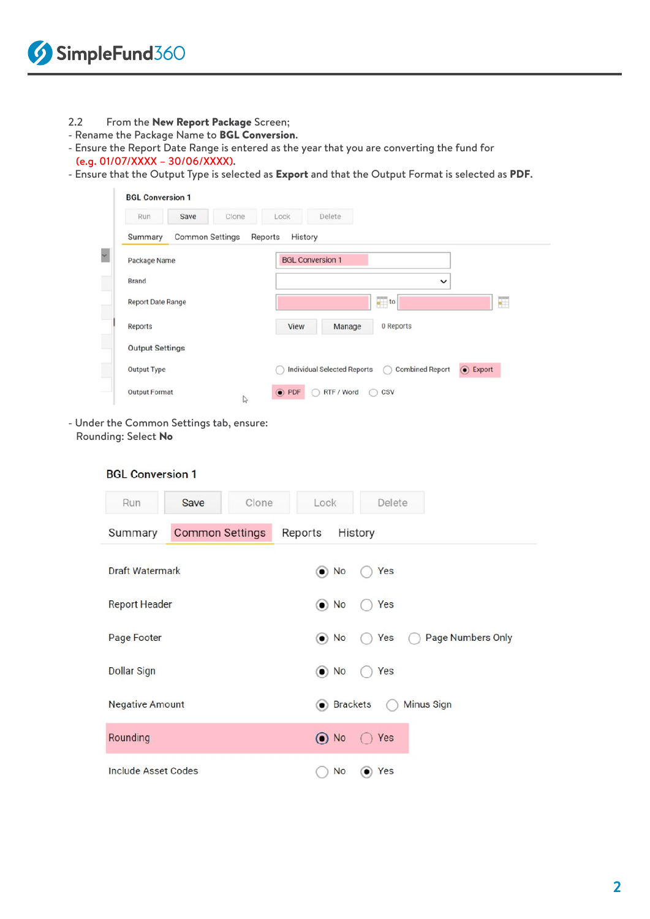- 2.2 From the New Report Package Screen;
- Rename the Package Name to BGL Conversion.
- Ensure the Report Date Range is entered as the year that you are converting the fund for (e.g. 01/07/XXXX – 30/06/XXXX).
- Ensure that the Output Type is selected as Export and that the Output Format is selected as PDF.

| Run<br>Save              | Clone                  | Lock               | Delete                             |                                    |                |
|--------------------------|------------------------|--------------------|------------------------------------|------------------------------------|----------------|
| Summary                  | <b>Common Settings</b> | History<br>Reports |                                    |                                    |                |
| Package Name             |                        |                    | <b>BGL Conversion 1</b>            |                                    |                |
| Brand                    |                        |                    |                                    | $\checkmark$                       |                |
| <b>Report Date Range</b> |                        |                    |                                    | $\frac{1}{\sqrt{2}}$ to            | a.             |
| Reports                  |                        | View               | Manage                             | 0 Reports                          |                |
| <b>Output Settings</b>   |                        |                    |                                    |                                    |                |
| Output Type              |                        |                    | <b>Individual Selected Reports</b> | <b>Combined Report</b><br>$\left($ | $\odot$ Export |
| <b>Output Format</b>     | $\mathbb{Z}$           | $\odot$ PDF        | RTF / Word                         | CSV<br>M                           |                |

- Under the Common Settings tab, ensure: Rounding: Select No

| Clone<br>Save<br>Run              | Lock<br>Delete                         |
|-----------------------------------|----------------------------------------|
| <b>Common Settings</b><br>Summary | Reports<br>History                     |
| <b>Draft Watermark</b>            | $\bullet$ No<br>Yes                    |
| <b>Report Header</b>              | $\odot$ No<br>Yes                      |
| Page Footer                       | Page Numbers Only<br>$\odot$ No<br>Yes |
| <b>Dollar Sign</b>                | $\odot$ No<br>Yes                      |
| <b>Negative Amount</b>            | <b>Brackets</b><br><b>Minus Sign</b>   |
| Rounding                          | $\odot$ No<br>$\bigcap$ Yes            |
| <b>Include Asset Codes</b>        | No<br>Yes<br>$\bullet$                 |

**BGL Conversion 1**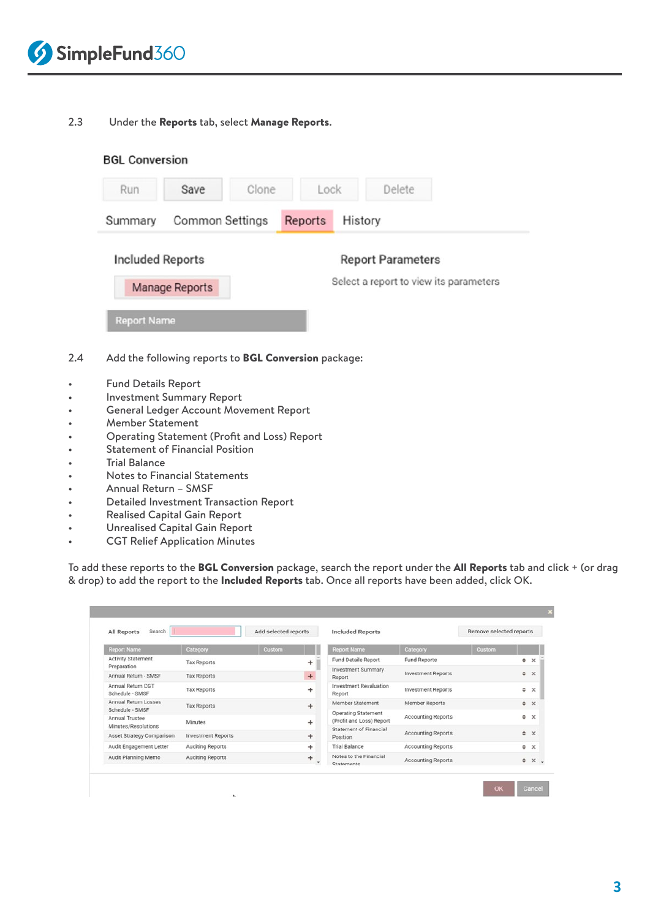

#### 2.3 Under the Reports tab, select Manage Reports.

| Run                     | Save                   | Clone | Lock    | Delete                   |                                        |
|-------------------------|------------------------|-------|---------|--------------------------|----------------------------------------|
| Summary                 | <b>Common Settings</b> |       | Reports | History                  |                                        |
| <b>Included Reports</b> |                        |       |         | <b>Report Parameters</b> |                                        |
|                         | Manage Reports         |       |         |                          | Select a report to view its parameters |
| <b>Report Name</b>      |                        |       |         |                          |                                        |

- Investment Summary Report
- General Ledger Account Movement Report
- Member Statement
- Operating Statement (Profit and Loss) Report
- Statement of Financial Position
- Trial Balance
- Notes to Financial Statements
- Annual Return SMSF
- Detailed Investment Transaction Report
- Realised Capital Gain Report
- Unrealised Capital Gain Report
- **CGT Relief Application Minutes**

To add these reports to the BGL Conversion package, search the report under the All Reports tab and click + (or drag & drop) to add the report to the Included Reports tab. Once all reports have been added, click OK.

| Search<br>All Reports                            |                           | Add selected reports | <b>Included Reports</b>                         |                           | Remove selected reports |   |                    |
|--------------------------------------------------|---------------------------|----------------------|-------------------------------------------------|---------------------------|-------------------------|---|--------------------|
| <b>Report Name</b>                               | Category                  | Custom               | <b>Report Name</b>                              | Category                  | Custom                  |   |                    |
| <b>Activity Statement</b>                        | <b>Tax Reports</b>        | ÷                    | <b>Fund Details Report</b>                      | Fund Reports              |                         |   | $\bullet$ $\times$ |
| Preparation<br>Annual Return - SMSF              | <b>Tax Reports</b>        | $+$                  | Investment Summary<br>Report                    | <b>Investment Reports</b> |                         |   | $**$               |
| Annual Return CGT<br>Schedule - SMSF             | <b>Tax Reports</b>        | ÷                    | <b>Investment Revaluation</b><br>Report         | <b>Investment Reports</b> |                         | ٠ | $\times$           |
| Annual Return Losses                             | <b>Tax Reports</b>        | $\ddot{}$            | Member Statement                                | Member Reports            |                         |   | $x^*$              |
| Schedule - SMSF<br>Annual Trustee                | Minutes                   | $\ddot{}$            | Operating Statement<br>(Profit and Loss) Report | Accounting Reports        |                         | ٠ | $\times$           |
| Minutes/Resolutions<br>Asset Strategy Comparison | <b>Investment Reports</b> | $\ddot{}$            | <b>Statement of Financial</b><br>Position       | <b>Accounting Reports</b> |                         |   | $* x$              |
| Audit Engagement Letter                          | Auditing Reports          | $+$                  | <b>Trial Balance</b>                            | <b>Accounting Reports</b> |                         |   | $* \times$         |
| Audit Planning Memo                              | Auditing Reports          | ÷<br>٠               | Notes to the Financial<br>Statemente            | <b>Accounting Reports</b> |                         |   | $*$ $\times$ .     |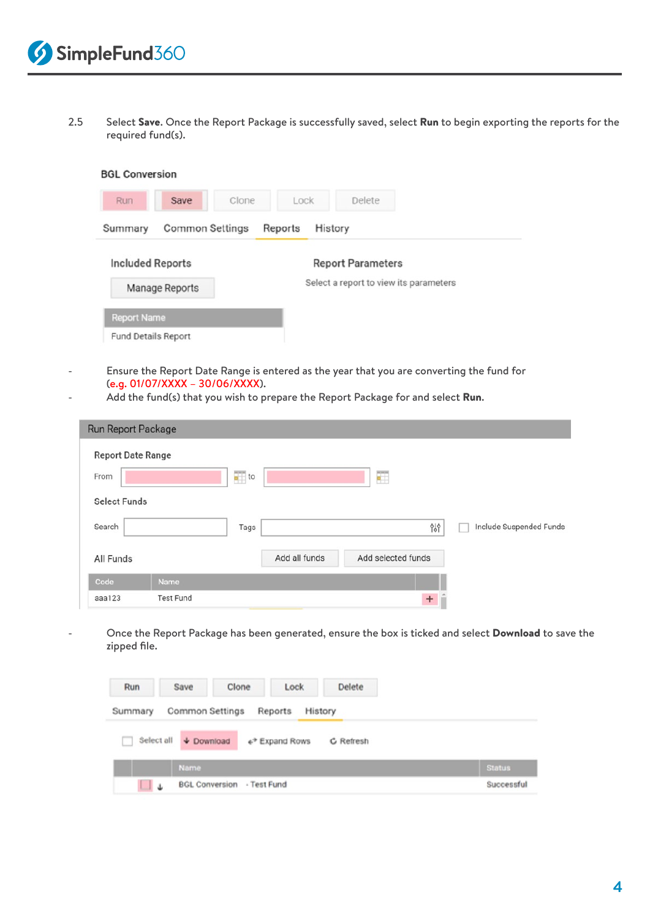2.5 Select Save. Once the Report Package is successfully saved, select Run to begin exporting the reports for the required fund(s).

| Run                     | Save            | Clone | Lock    |         | Delete                                 |  |
|-------------------------|-----------------|-------|---------|---------|----------------------------------------|--|
| Summary                 | Common Settings |       | Reports | History |                                        |  |
| <b>Included Reports</b> |                 |       |         |         | <b>Report Parameters</b>               |  |
|                         | Manage Reports  |       |         |         | Select a report to view its parameters |  |
| <b>Report Name</b>      |                 |       |         |         |                                        |  |
| Fund Details Report     |                 |       |         |         |                                        |  |

- Ensure the Report Date Range is entered as the year that you are converting the fund for (e.g. 01/07/XXXX – 30/06/XXXX).
- Add the fund(s) that you wish to prepare the Report Package for and select Run.

| Run Report Package       |                         |               |                    |                         |
|--------------------------|-------------------------|---------------|--------------------|-------------------------|
| <b>Report Date Range</b> |                         |               |                    |                         |
| From                     | $\frac{1}{\sqrt{2}}$ to |               | Œ                  |                         |
| <b>Select Funds</b>      |                         |               |                    |                         |
| Search                   | Tags                    |               | 969                | Include Suspended Funds |
| All Funds                |                         | Add all funds | Add selected funds |                         |
| Code                     | <b>Name</b>             |               |                    |                         |
| aaa123                   | <b>Test Fund</b>        |               | $+$                |                         |

Once the Report Package has been generated, ensure the box is ticked and select Download to save the zipped file.

| Run             | Save                  | Clone                             | Lock                       | Delete    |               |
|-----------------|-----------------------|-----------------------------------|----------------------------|-----------|---------------|
| Summary         | Common Settings       |                                   | Reports<br>History         |           |               |
| Select all<br>n | $\downarrow$ Download |                                   | e <sup>→</sup> Expand Rows | C Refresh |               |
|                 | Name                  |                                   |                            |           | <b>Status</b> |
|                 |                       | <b>BGL Conversion - Test Fund</b> |                            |           | Successful    |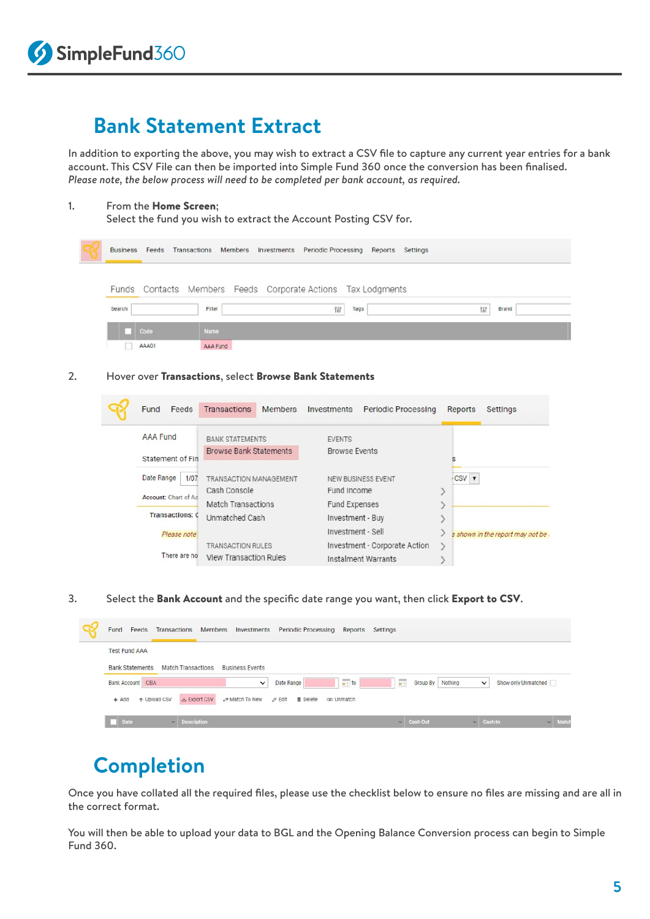## **Bank Statement Extract**

In addition to exporting the above, you may wish to extract a CSV file to capture any current year entries for a bank account. This CSV File can then be imported into Simple Fund 360 once the conversion has been finalised. *Please note, the below process will need to be completed per bank account, as required.* 

#### 1. From the Home Screen;

Select the fund you wish to extract the Account Posting CSV for.



2. Hover over Transactions, select Browse Bank Statements

| Feeds<br>Fund          | <b>Transactions</b><br><b>Members</b>     | <b>Investments</b><br><b>Periodic Processing</b>     | Reports<br>Settings               |
|------------------------|-------------------------------------------|------------------------------------------------------|-----------------------------------|
| <b>AAA Fund</b>        | <b>BANK STATEMENTS</b>                    | <b>EVENTS</b>                                        |                                   |
| Statement of Fin       | <b>Browse Bank Statements</b>             | <b>Browse Events</b>                                 |                                   |
| Date Range<br>1/07     | TRANSACTION MANAGEMENT                    | NEW BUSINESS EVENT                                   | CSV <b>v</b>                      |
| Account: Chart of Ac   | Cash Console<br><b>Match Transactions</b> | Fund Income<br><b>Fund Expenses</b>                  |                                   |
| <b>Transactions: C</b> | Unmatched Cash                            | Investment - Buy                                     |                                   |
| Please note            | <b>TRANSACTION RULES</b>                  | Investment - Sell                                    | s shown in the report may not be. |
| There are no           | <b>View Transaction Rules</b>             | Investment - Corporate Action<br>Instalment Warrants |                                   |

3. Select the Bank Account and the specific date range you want, then click Export to CSV.

| Fund<br>Transactions<br>Investments Periodic Processing<br>Feeds<br>Members                                                  | Reports Settings |                 |                  |                                     |              |
|------------------------------------------------------------------------------------------------------------------------------|------------------|-----------------|------------------|-------------------------------------|--------------|
| <b>Test Fund AAA</b>                                                                                                         |                  |                 |                  |                                     |              |
| Bank Statements Match Transactions<br><b>Business Events</b>                                                                 |                  |                 |                  |                                     |              |
| $\frac{1}{2}$ to<br>Date Range<br><b>Bank Account</b> CBA<br>$\checkmark$                                                    |                  | 羂               | Group By Nothing | Show only Unmatched<br>$\checkmark$ |              |
| & Export CSV<br>$e^{\phi}$ Match To New $\varnothing$ Edit<br>+ Upload CSV<br><b>Delete</b><br>$+$ Add<br><b>EXE</b> Unmatch |                  |                 |                  |                                     |              |
| $\vee$ Description<br>Date                                                                                                   |                  | $\vee$ Cash Out |                  | $\vee$ Cash In                      | $\vee$ Match |

## **Completion**

Once you have collated all the required files, please use the checklist below to ensure no files are missing and are all in the correct format.

You will then be able to upload your data to BGL and the Opening Balance Conversion process can begin to Simple Fund 360.